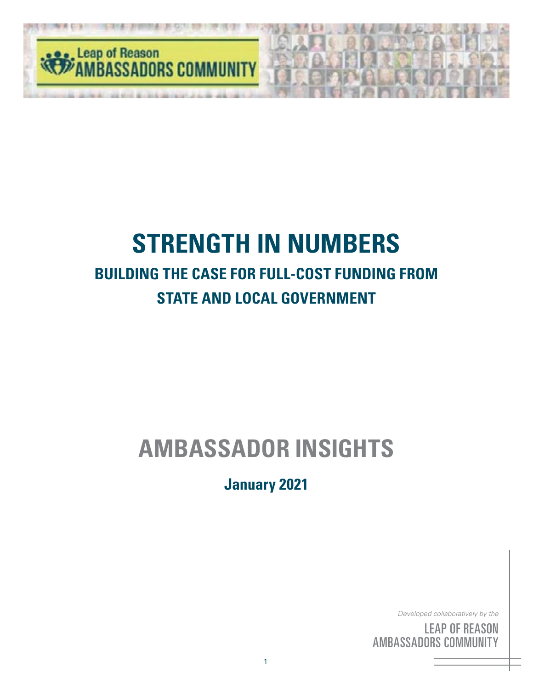

# **STRENGTH IN NUMBERS BUILDING THE CASE FOR FULL-COST FUNDING FROM STATE AND LOCAL GOVERNMENT**

# **AMBASSADOR INSIGHTS**

**January 2021**

*Developed collaboratively by the*

<sup>by</sup><br>S( he<br>IN<br>'Y <sup>by</sup><br>SC<br>III <sub>the</sub><br>DN<br>FY LEAP OF REASON AMBASSADORS COMMUNITY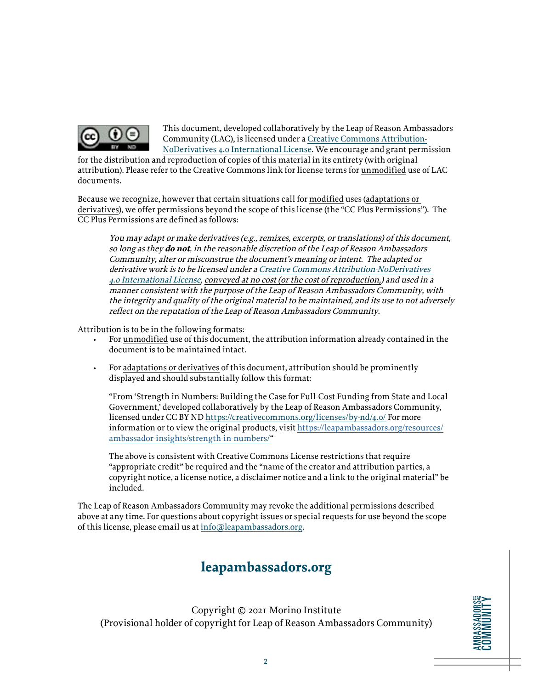

This document, developed collaboratively by the Leap of Reason Ambassadors Community (LAC), is licensed under a [Creative Commons Attribution-](https://creativecommons.org/licenses/by-nd/4.0/)[NoDerivatives 4.0 International License](https://creativecommons.org/licenses/by-nd/4.0/). We encourage and grant permission

for the distribution and reproduction of copies of this material in its entirety (with original attribution). Please refer to the Creative Commons link for license terms for unmodified use of LAC documents.

Because we recognize, however that certain situations call for modified uses (adaptations or derivatives), we offer permissions beyond the scope of this license (the "CC Plus Permissions"). The CC Plus Permissions are defined as follows:

You may adapt or make derivatives (e.g., remixes, excerpts, or translations) of this document, so long as they **do not**, in the reasonable discretion of the Leap of Reason Ambassadors Community, alter or misconstrue the document's meaning or intent. The adapted or derivative work is to be licensed under a [Creative Commons Attribution-NoDerivatives](https://creativecommons.org/licenses/by-nd/4.0/)  [4.0 International License](https://creativecommons.org/licenses/by-nd/4.0/), conveyed at no cost (or the cost of reproduction,) and used in a manner consistent with the purpose of the Leap of Reason Ambassadors Community, with the integrity and quality of the original material to be maintained, and its use to not adversely reflect on the reputation of the Leap of Reason Ambassadors Community.

Attribution is to be in the following formats:

- For unmodified use of this document, the attribution information already contained in the document is to be maintained intact.
- For adaptations or derivatives of this document, attribution should be prominently displayed and should substantially follow this format:

"From 'Strength in Numbers: Building the Case for Full-Cost Funding from State and Local Government,' developed collaboratively by the Leap of Reason Ambassadors Community, licensed under CC BY ND<https://creativecommons.org/licenses/by-nd/4.0/> For more information or to view the original products, visit [https://leapambassadors.org/resources/](https://leapambassadors.org/resources/ambassador-insights/helping-your-team-during-crisis/) [ambassador-insights/strength-in-numbers/](https://leapambassadors.org/resources/ambassador-insights/helping-your-team-during-crisis/)"

The above is consistent with Creative Commons License restrictions that require "appropriate credit" be required and the "name of the creator and attribution parties, a copyright notice, a license notice, a disclaimer notice and a link to the original material" be included.

The Leap of Reason Ambassadors Community may revoke the additional permissions described above at any time. For questions about copyright issues or special requests for use beyond the scope of this license, please email us at [info@leapambassadors.org](mailto:info%40leapambassadors.org?subject=).

### **leapambassadors.org**

Copyright © 2021 Morino Institute (Provisional holder of copyright for Leap of Reason Ambassadors Community)

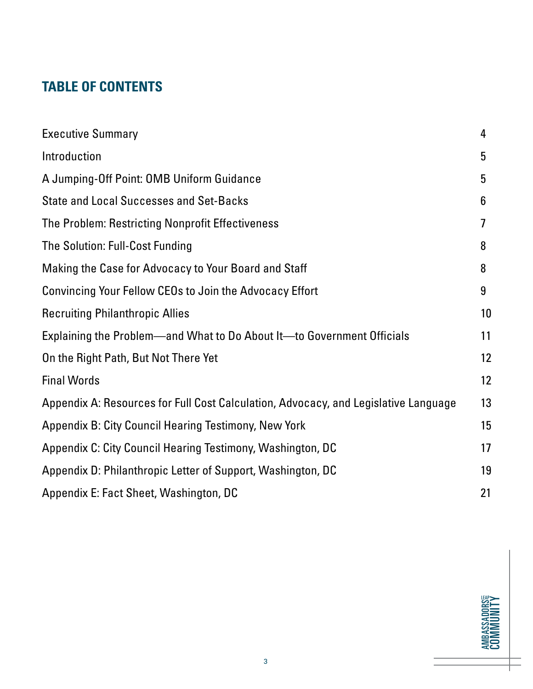### **TABLE OF CONTENTS**

| <b>Executive Summary</b>                                                            | 4  |
|-------------------------------------------------------------------------------------|----|
| Introduction                                                                        | 5  |
| A Jumping-Off Point: OMB Uniform Guidance                                           | 5  |
| <b>State and Local Successes and Set-Backs</b>                                      | 6  |
| The Problem: Restricting Nonprofit Effectiveness                                    | 7  |
| The Solution: Full-Cost Funding                                                     | 8  |
| Making the Case for Advocacy to Your Board and Staff                                | 8  |
| Convincing Your Fellow CEOs to Join the Advocacy Effort                             | 9  |
| <b>Recruiting Philanthropic Allies</b>                                              | 10 |
| Explaining the Problem—and What to Do About It—to Government Officials              | 11 |
| On the Right Path, But Not There Yet                                                | 12 |
| <b>Final Words</b>                                                                  | 12 |
| Appendix A: Resources for Full Cost Calculation, Advocacy, and Legislative Language | 13 |
| Appendix B: City Council Hearing Testimony, New York                                | 15 |
| Appendix C: City Council Hearing Testimony, Washington, DC                          | 17 |
| Appendix D: Philanthropic Letter of Support, Washington, DC                         | 19 |
| Appendix E: Fact Sheet, Washington, DC                                              | 21 |

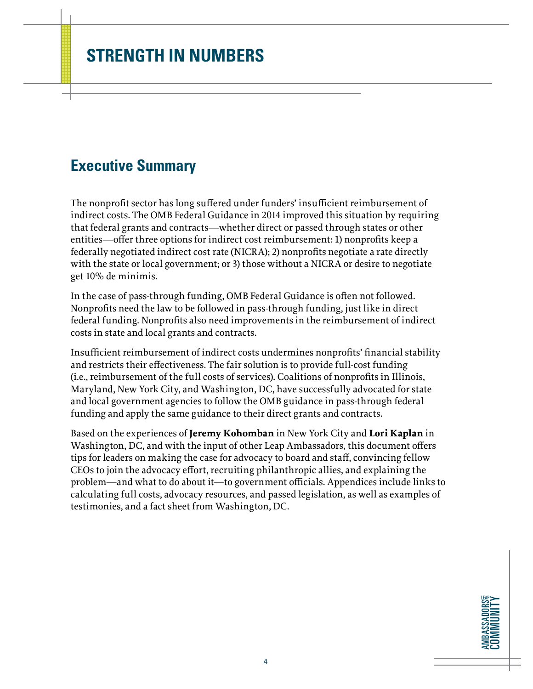### <span id="page-3-0"></span>**Executive Summary**

The nonprofit sector has long suffered under funders' insufficient reimbursement of indirect costs. The OMB Federal Guidance in 2014 improved this situation by requiring that federal grants and contracts—whether direct or passed through states or other entities—offer three options for indirect cost reimbursement: 1) nonprofits keep a federally negotiated indirect cost rate (NICRA); 2) nonprofits negotiate a rate directly with the state or local government; or 3) those without a NICRA or desire to negotiate get 10% de minimis.

In the case of pass-through funding, OMB Federal Guidance is often not followed. Nonprofits need the law to be followed in pass-through funding, just like in direct federal funding. Nonprofits also need improvements in the reimbursement of indirect costs in state and local grants and contracts.

Insufficient reimbursement of indirect costs undermines nonprofits' financial stability and restricts their effectiveness. The fair solution is to provide full-cost funding (i.e., reimbursement of the full costs of services). Coalitions of nonprofits in Illinois, Maryland, New York City, and Washington, DC, have successfully advocated for state and local government agencies to follow the OMB guidance in pass-through federal funding and apply the same guidance to their direct grants and contracts.

Based on the experiences of **Jeremy Kohomban** in New York City and **Lori Kaplan** in Washington, DC, and with the input of other Leap Ambassadors, this document offers tips for leaders on making the case for advocacy to board and staff, convincing fellow CEOs to join the advocacy effort, recruiting philanthropic allies, and explaining the problem—and what to do about it—to government officials. Appendices include links to calculating full costs, advocacy resources, and passed legislation, as well as examples of testimonies, and a fact sheet from Washington, DC.

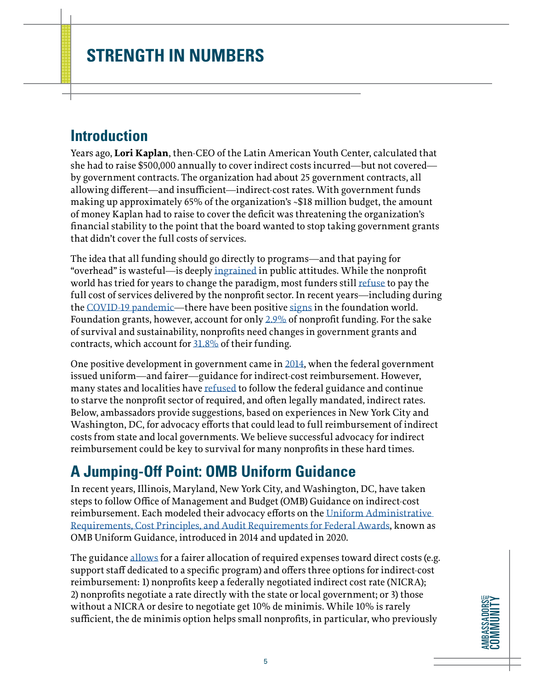### <span id="page-4-0"></span>**Introduction**

Years ago, **Lori Kaplan**, then-CEO of the Latin American Youth Center, calculated that she had to raise \$500,000 annually to cover indirect costs incurred—but not covered by government contracts. The organization had about 25 government contracts, all allowing different—and insufficient—indirect-cost rates. With government funds making up approximately 65% of the organization's ~\$18 million budget, the amount of money Kaplan had to raise to cover the deficit was threatening the organization's financial stability to the point that the board wanted to stop taking government grants that didn't cover the full costs of services.

The idea that all funding should go directly to programs—and that paying for "overhead" is wasteful—is deeply [ingrained](https://nonprofitquarterly.org/about-nonprofit-waste-overhead-and-financial-subservience/) in public attitudes. While the nonprofit world has tried for years to change the paradigm, most funders still [refuse](https://ssir.org/up_for_debate/article/pay_what_it_takes_philanthropy) to pay the full cost of services delivered by the nonprofit sector. In recent years—including during the [COVID-19 pandemic](https://www.philanthropy.com/article/nearly-700-foundations-join-pledge-to-ease-grant-restrictions/)—there have been positive [signs](https://www.nytimes.com/2020/06/10/business/ford-foundation-bonds-coronavirus.html) in the foundation world. Foundation grants, however, account for only [2.9%](https://www.nonprofitimpactmatters.org/site/assets/files/1/nonprofit-impact-matters-sept-2019-1.pdf) of nonprofit funding. For the sake of survival and sustainability, nonprofits need changes in government grants and contracts, which account for [31.8%](https://www.nonprofitimpactmatters.org/site/assets/files/1/nonprofit-impact-matters-sept-2019-1.pdf) of their funding.

One positive development in government came in [2014](https://www.grants.gov/learn-grants/grant-policies/omb-uniform-guidance-2014.html), when the federal government issued uniform—and fairer—guidance for indirect-cost reimbursement. However, many states and localities have [refused](https://www.philanthropy.com/paid-article/five-foundations-address-the/293) to follow the federal guidance and continue to starve the nonprofit sector of required, and often legally mandated, indirect rates. Below, ambassadors provide suggestions, based on experiences in New York City and Washington, DC, for advocacy efforts that could lead to full reimbursement of indirect costs from state and local governments. We believe successful advocacy for indirect reimbursement could be key to survival for many nonprofits in these hard times.

### **A Jumping-Off Point: OMB Uniform Guidance**

In recent years, Illinois, Maryland, New York City, and Washington, DC, have taken steps to follow Office of Management and Budget (OMB) Guidance on indirect-cost reimbursement. Each modeled their advocacy efforts on the [Uniform Administrative](https://www.ecfr.gov/cgi-bin/text-idx?tpl=/ecfrbrowse/Title02/2cfr200_main_02.tpl)  [Requirements, Cost Principles, and Audit Requirements for Federal Awards,](https://www.ecfr.gov/cgi-bin/text-idx?tpl=/ecfrbrowse/Title02/2cfr200_main_02.tpl) known as OMB Uniform Guidance, introduced in 2014 and updated in 2020.

The guidance [allows](https://www.councilofnonprofits.org/article/the-omb-uniform-guidance-what-it-and-why-it-matters-counties-and-nonprofits) for a fairer allocation of required expenses toward direct costs (e.g. support staff dedicated to a specific program) and offers three options for indirect-cost reimbursement: 1) nonprofits keep a federally negotiated indirect cost rate (NICRA); 2) nonprofits negotiate a rate directly with the state or local government; or 3) those without a NICRA or desire to negotiate get 10% de minimis. While 10% is rarely sufficient, the de minimis option helps small nonprofits, in particular, who previously

**AMBASSADORS COMMUNITY AMBASSADORS** COMMUNITY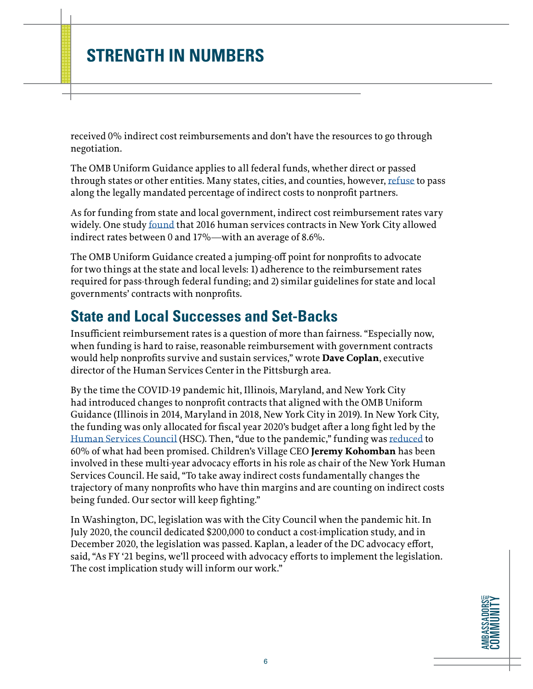<span id="page-5-0"></span>received 0% indirect cost reimbursements and don't have the resources to go through negotiation.

The OMB Uniform Guidance applies to all federal funds, whether direct or passed through states or other entities. Many states, cities, and counties, however, [refuse](https://www.philanthropy.com/paid-article/five-foundations-address-the/293) to pass along the legally mandated percentage of indirect costs to nonprofit partners.

As for funding from state and local government, indirect cost reimbursement rates vary widely. One study [found](https://comptroller.nyc.gov/reports/strengthening-the-frontline-an-analysis-of-human-services-contracts-in-nyc/) that 2016 human services contracts in New York City allowed indirect rates between 0 and 17%—with an average of 8.6%.

The OMB Uniform Guidance created a jumping-off point for nonprofits to advocate for two things at the state and local levels: 1) adherence to the reimbursement rates required for pass-through federal funding; and 2) similar guidelines for state and local governments' contracts with nonprofits.

### **State and Local Successes and Set-Backs**

Insufficient reimbursement rates is a question of more than fairness. "Especially now, when funding is hard to raise, reasonable reimbursement with government contracts would help nonprofits survive and sustain services," wrote **Dave Coplan**, executive director of the Human Services Center in the Pittsburgh area.

By the time the COVID-19 pandemic hit, Illinois, Maryland, and New York City had introduced changes to nonprofit contracts that aligned with the OMB Uniform Guidance (Illinois in 2014, Maryland in 2018, New York City in 2019). In New York City, the funding was only allocated for fiscal year 2020's budget after a long fight led by the [Human Services Council](https://humanservicescouncil.org/hscs-city-council-fy20-preliminary-budget-response/) (HSC). Then, "due to the pandemic," funding was [reduced](https://www1.nyc.gov/assets/nonprofits/downloads/pdf/Aug11_Indirect_Rate_Initative_Update.pdf) to 60% of what had been promised. Children's Village CEO **Jeremy Kohomban** has been involved in these multi-year advocacy efforts in his role as chair of the New York Human Services Council. He said, "To take away indirect costs fundamentally changes the trajectory of many nonprofits who have thin margins and are counting on indirect costs being funded. Our sector will keep fighting."

In Washington, DC, legislation was with the City Council when the pandemic hit. In July 2020, the council dedicated \$200,000 to conduct a cost-implication study, and in December 2020, the legislation was passed. Kaplan, a leader of the DC advocacy effort, said, "As FY '21 begins, we'll proceed with advocacy efforts to implement the legislation. The cost implication study will inform our work."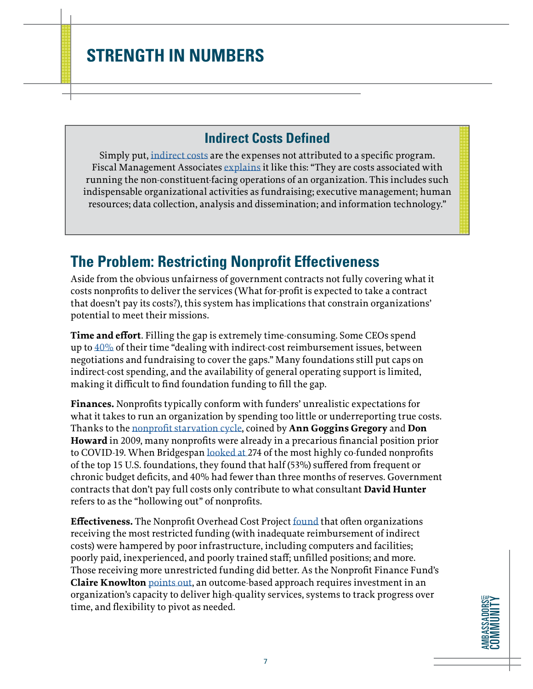### **Indirect Costs Defined**

<span id="page-6-0"></span>Simply put, [indirect costs](https://nonprofitquarterly.org/about-nonprofit-waste-overhead-and-financial-subservience/) are the expenses not attributed to a specific program. Fiscal Management Associates [explains](https://fmaonline.net/2015/02/) it like this: "They are costs associated with running the non-constituent-facing operations of an organization. This includes such indispensable organizational activities as fundraising; executive management; human resources; data collection, analysis and dissemination; and information technology."

### **The Problem: Restricting Nonprofit Effectiveness**

Aside from the obvious unfairness of government contracts not fully covering what it costs nonprofits to deliver the services (What for-profit is expected to take a contract that doesn't pay its costs?), this system has implications that constrain organizations' potential to meet their missions.

**Time and effort**. Filling the gap is extremely time-consuming. Some CEOs spend up to  $40\%$  of their time "dealing with indirect-cost reimbursement issues, between negotiations and fundraising to cover the gaps." Many foundations still put caps on indirect-cost spending, and the availability of general operating support is limited, making it difficult to find foundation funding to fill the gap.

**Finances.** Nonprofits typically conform with funders' unrealistic expectations for what it takes to run an organization by spending too little or underreporting true costs. Thanks to the [nonprofit starvation cycle,](https://ssir.org/articles/entry/the_nonprofit_starvation_cycle) coined by **Ann Goggins Gregory** and **Don Howard** in 2009, many nonprofits were already in a precarious financial position prior to COVID-19. When Bridgespan [looked at](https://www.philanthropy.com/paid-article/five-foundations-address-the/293) 274 of the most highly co-funded nonprofits of the top 15 U.S. foundations, they found that half (53%) suffered from frequent or chronic budget deficits, and 40% had fewer than three months of reserves. Government contracts that don't pay full costs only contribute to what consultant **David Hunter** refers to as the "hollowing out" of nonprofits.

**Effectiveness.** The Nonprofit Overhead Cost Project [found](https://www.urban.org/sites/default/files/publication/57731/311044-Getting-What-We-Pay-For.PDF) that often organizations receiving the most restricted funding (with inadequate reimbursement of indirect costs) were hampered by poor infrastructure, including computers and facilities; poorly paid, inexperienced, and poorly trained staff; unfilled positions; and more. Those receiving more unrestricted funding did better. As the Nonprofit Finance Fund's **Claire Knowlton** [points out,](https://nonprofitquarterly.org/why-funding-overhead-is-not-the-real-issue-the-case-to-cover-full-costs/) an outcome-based approach requires investment in an organization's capacity to deliver high-quality services, systems to track progress over time, and flexibility to pivot as needed.

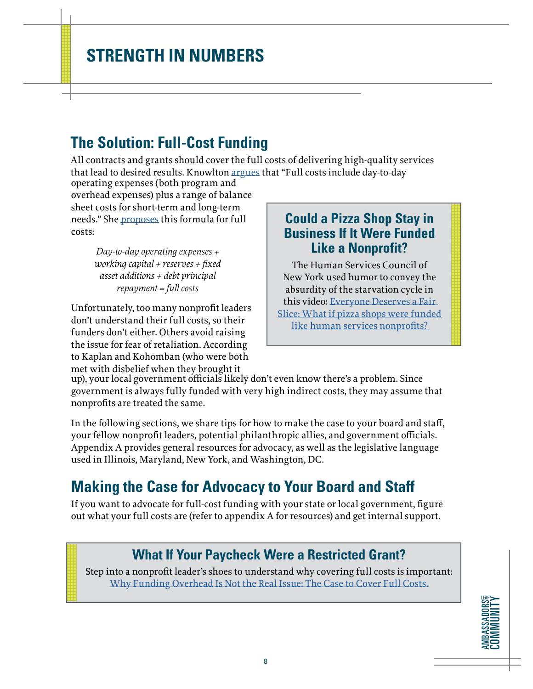## <span id="page-7-0"></span>**The Solution: Full-Cost Funding**

All contracts and grants should cover the full costs of delivering high-quality services that lead to desired results. Knowlton [argues](https://nonprofitquarterly.org/why-funding-overhead-is-not-the-real-issue-the-case-to-cover-full-costs/) that "Full costs include day-to-day

operating expenses (both program and overhead expenses) plus a range of balance sheet costs for short-term and long-term needs." She [proposes](https://nonprofitquarterly.org/why-funding-overhead-is-not-the-real-issue-the-case-to-cover-full-costs/) this formula for full costs:

> *Day-to-day operating expenses + working capital + reserves + fixed asset additions + debt principal repayment = full costs*

Unfortunately, too many nonprofit leaders don't understand their full costs, so their funders don't either. Others avoid raising the issue for fear of retaliation. According to Kaplan and Kohomban (who were both met with disbelief when they brought it

### **Could a Pizza Shop Stay in Business If It Were Funded Like a Nonprofit?**

The Human Services Council of New York used humor to convey the absurdity of the starvation cycle in this video: [Everyone Deserves a Fair](https://www.youtube.com/watch?v=-gELZnORV4U&feature=youtu.be)  [Slice: What if pizza shops were funded](https://www.youtube.com/watch?v=-gELZnORV4U&feature=youtu.be)  [like human services nonprofits?](https://www.youtube.com/watch?v=-gELZnORV4U&feature=youtu.be) 

up), your local government officials likely don't even know there's a problem. Since government is always fully funded with very high indirect costs, they may assume that nonprofits are treated the same.

In the following sections, we share tips for how to make the case to your board and staff, your fellow nonprofit leaders, potential philanthropic allies, and government officials. Appendix A provides general resources for advocacy, as well as the legislative language used in Illinois, Maryland, New York, and Washington, DC.

# **Making the Case for Advocacy to Your Board and Staff**

If you want to advocate for full-cost funding with your state or local government, figure out what your full costs are (refer to appendix A for resources) and get internal support.

### **What If Your Paycheck Were a Restricted Grant?**

Step into a nonprofit leader's shoes to understand why covering full costs is important: [Why Funding Overhead Is Not the Real Issue: The Case to Cover Full Costs.](https://nonprofitquarterly.org/why-funding-overhead-is-not-the-real-issue-the-case-to-cover-full-costs/)

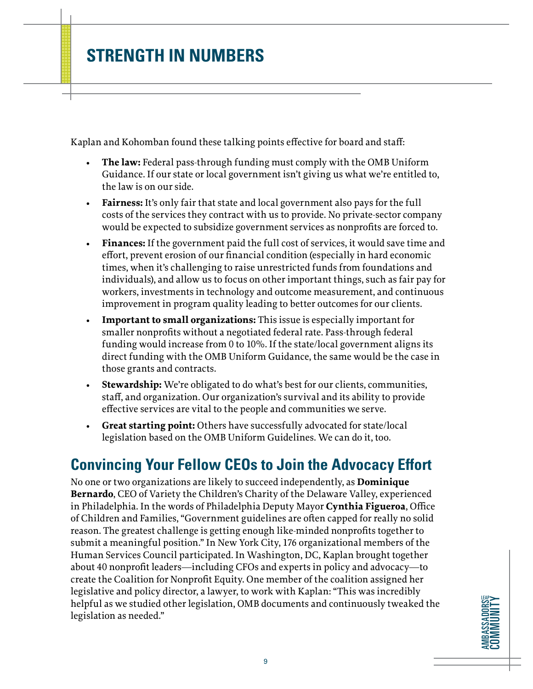<span id="page-8-0"></span>Kaplan and Kohomban found these talking points effective for board and staff:

- **• The law:** Federal pass-through funding must comply with the OMB Uniform Guidance. If our state or local government isn't giving us what we're entitled to, the law is on our side.
- **• Fairness:** It's only fair that state and local government also pays for the full costs of the services they contract with us to provide. No private-sector company would be expected to subsidize government services as nonprofits are forced to.
- **• Finances:** If the government paid the full cost of services, it would save time and effort, prevent erosion of our financial condition (especially in hard economic times, when it's challenging to raise unrestricted funds from foundations and individuals), and allow us to focus on other important things, such as fair pay for workers, investments in technology and outcome measurement, and continuous improvement in program quality leading to better outcomes for our clients.
- **• Important to small organizations:** This issue is especially important for smaller nonprofits without a negotiated federal rate. Pass-through federal funding would increase from 0 to 10%. If the state/local government aligns its direct funding with the OMB Uniform Guidance, the same would be the case in those grants and contracts.
- **• Stewardship:** We're obligated to do what's best for our clients, communities, staff, and organization. Our organization's survival and its ability to provide effective services are vital to the people and communities we serve.
- **• Great starting point:** Others have successfully advocated for state/local legislation based on the OMB Uniform Guidelines. We can do it, too.

### **Convincing Your Fellow CEOs to Join the Advocacy Effort**

No one or two organizations are likely to succeed independently, as **Dominique Bernardo**, CEO of Variety the Children's Charity of the Delaware Valley, experienced in Philadelphia. In the words of Philadelphia Deputy Mayor **Cynthia Figueroa**, Office of Children and Families, "Government guidelines are often capped for really no solid reason. The greatest challenge is getting enough like-minded nonprofits together to submit a meaningful position." In New York City, 176 organizational members of the Human Services Council participated. In Washington, DC, Kaplan brought together about 40 nonprofit leaders—including CFOs and experts in policy and advocacy—to create the Coalition for Nonprofit Equity. One member of the coalition assigned her legislative and policy director, a lawyer, to work with Kaplan: "This was incredibly helpful as we studied other legislation, OMB documents and continuously tweaked the legislation as needed."

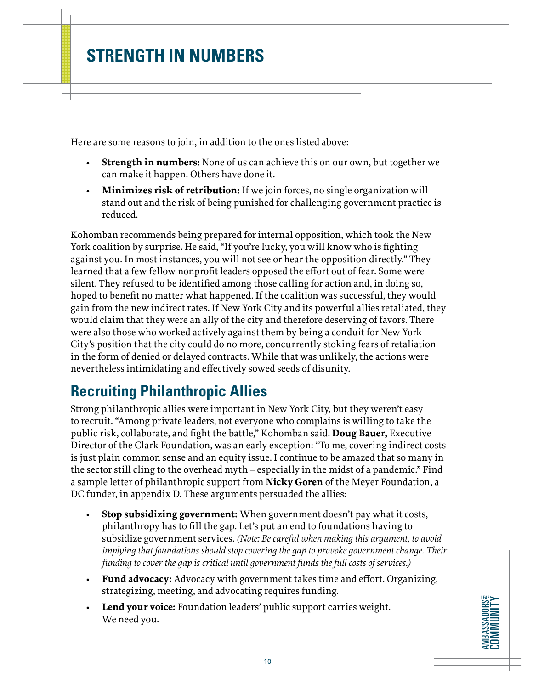<span id="page-9-0"></span>Here are some reasons to join, in addition to the ones listed above:

- **• Strength in numbers:** None of us can achieve this on our own, but together we can make it happen. Others have done it.
- **• Minimizes risk of retribution:** If we join forces, no single organization will stand out and the risk of being punished for challenging government practice is reduced.

Kohomban recommends being prepared for internal opposition, which took the New York coalition by surprise. He said, "If you're lucky, you will know who is fighting against you. In most instances, you will not see or hear the opposition directly." They learned that a few fellow nonprofit leaders opposed the effort out of fear. Some were silent. They refused to be identified among those calling for action and, in doing so, hoped to benefit no matter what happened. If the coalition was successful, they would gain from the new indirect rates. If New York City and its powerful allies retaliated, they would claim that they were an ally of the city and therefore deserving of favors. There were also those who worked actively against them by being a conduit for New York City's position that the city could do no more, concurrently stoking fears of retaliation in the form of denied or delayed contracts. While that was unlikely, the actions were nevertheless intimidating and effectively sowed seeds of disunity.

# **Recruiting Philanthropic Allies**

Strong philanthropic allies were important in New York City, but they weren't easy to recruit. "Among private leaders, not everyone who complains is willing to take the public risk, collaborate, and fight the battle," Kohomban said. **Doug Bauer,** Executive Director of the Clark Foundation, was an early exception: "To me, covering indirect costs is just plain common sense and an equity issue. I continue to be amazed that so many in the sector still cling to the overhead myth – especially in the midst of a pandemic." Find a sample letter of philanthropic support from **Nicky Goren** of the Meyer Foundation, a DC funder, in appendix D. These arguments persuaded the allies:

- **• Stop subsidizing government:** When government doesn't pay what it costs, philanthropy has to fill the gap. Let's put an end to foundations having to subsidize government services. *(Note: Be careful when making this argument, to avoid implying that foundations should stop covering the gap to provoke government change. Their funding to cover the gap is critical until government funds the full costs of services.)*
- **• Fund advocacy:** Advocacy with government takes time and effort. Organizing, strategizing, meeting, and advocating requires funding.
- **• Lend your voice:** Foundation leaders' public support carries weight. We need you.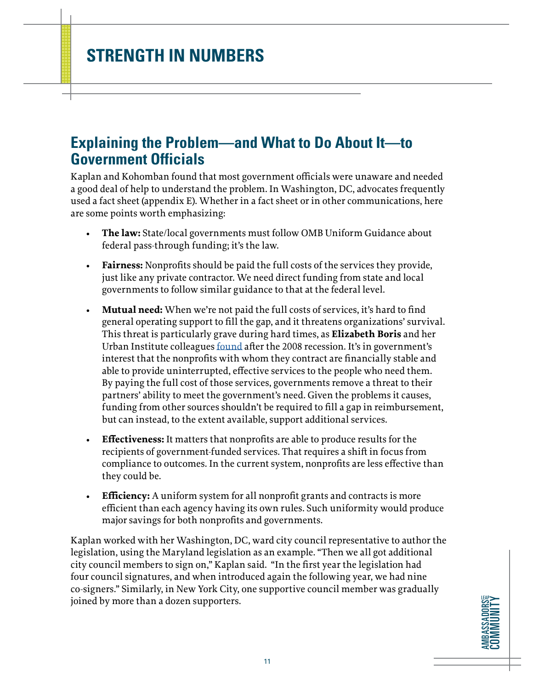### <span id="page-10-0"></span>**Explaining the Problem—and What to Do About It—to Government Officials**

Kaplan and Kohomban found that most government officials were unaware and needed a good deal of help to understand the problem. In Washington, DC, advocates frequently used a fact sheet (appendix E). Whether in a fact sheet or in other communications, here are some points worth emphasizing:

- **• The law:** State/local governments must follow OMB Uniform Guidance about federal pass-through funding; it's the law.
- **• Fairness:** Nonprofits should be paid the full costs of the services they provide, just like any private contractor. We need direct funding from state and local governments to follow similar guidance to that at the federal level.
- **• Mutual need:** When we're not paid the full costs of services, it's hard to find general operating support to fill the gap, and it threatens organizations' survival. This threat is particularly grave during hard times, as **Elizabeth Boris** and her Urban Institute colleagues [found](https://www.urban.org/research/publication/human-service-nonprofits-and-government-collaboration-findings-2010-national-survey-nonprofit-government-contracting-and-grants) after the 2008 recession. It's in government's interest that the nonprofits with whom they contract are financially stable and able to provide uninterrupted, effective services to the people who need them. By paying the full cost of those services, governments remove a threat to their partners' ability to meet the government's need. Given the problems it causes, funding from other sources shouldn't be required to fill a gap in reimbursement, but can instead, to the extent available, support additional services.
- **• Effectiveness:** It matters that nonprofits are able to produce results for the recipients of government-funded services. That requires a shift in focus from compliance to outcomes. In the current system, nonprofits are less effective than they could be.
- **Efficiency:** A uniform system for all nonprofit grants and contracts is more efficient than each agency having its own rules. Such uniformity would produce major savings for both nonprofits and governments.

Kaplan worked with her Washington, DC, ward city council representative to author the legislation, using the Maryland legislation as an example. "Then we all got additional city council members to sign on," Kaplan said. "In the first year the legislation had four council signatures, and when introduced again the following year, we had nine co-signers." Similarly, in New York City, one supportive council member was gradually joined by more than a dozen supporters.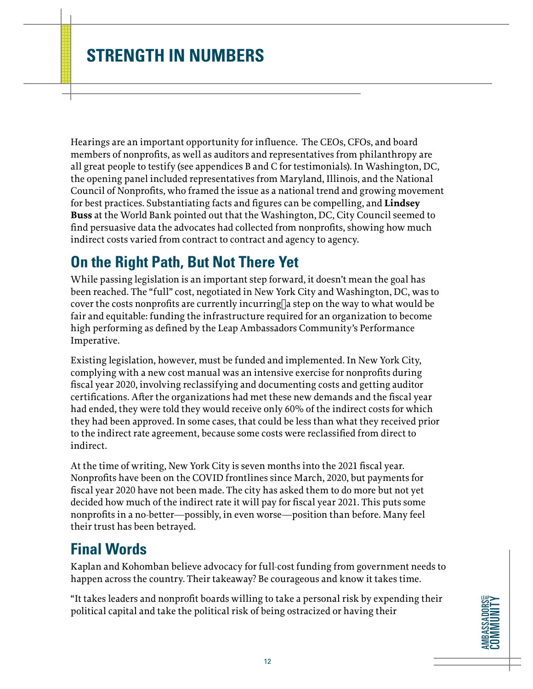<span id="page-11-0"></span>Hearings are an important opportunity for influence. The CEOs, CFOs, and board members of nonprofits, as well as auditors and representatives from philanthropy are all great people to testify (see appendices B and C for testimonials). In Washington, DC, the opening panel included representatives from Maryland, Illinois, and the National Council of Nonprofits, who framed the issue as a national trend and growing movement for best practices. Substantiating facts and figures can be compelling, and **Lindsey Buss** at the World Bank pointed out that the Washington, DC, City Council seemed to find persuasive data the advocates had collected from nonprofits, showing how much indirect costs varied from contract to contract and agency to agency.

### **On the Right Path, But Not There Yet**

While passing legislation is an important step forward, it doesn't mean the goal has been reached. The "full" cost, negotiated in New York City and Washington, DC, was to cover the costs nonprofits are currently incurring a step on the way to what would be fair and equitable: funding the infrastructure required for an organization to become high performing as defined by the Leap Ambassadors Community's Performance Imperative.

Existing legislation, however, must be funded and implemented. In New York City, complying with a new cost manual was an intensive exercise for nonprofits during fiscal year 2020, involving reclassifying and documenting costs and getting auditor certifications. After the organizations had met these new demands and the fiscal year had ended, they were told they would receive only 60% of the indirect costs for which they had been approved. In some cases, that could be less than what they received prior to the indirect rate agreement, because some costs were reclassified from direct to indirect.

At the time of writing, New York City is seven months into the 2021 fiscal year. Nonprofits have been on the COVID frontlines since March, 2020, but payments for fiscal year 2020 have not been made. The city has asked them to do more but not yet decided how much of the indirect rate it will pay for fiscal year 2021. This puts some nonprofits in a no-better—possibly, in even worse—position than before. Many feel their trust has been betrayed.

### **Final Words**

Kaplan and Kohomban believe advocacy for full-cost funding from government needs to happen across the country. Their takeaway? Be courageous and know it takes time.

"It takes leaders and nonprofit boards willing to take a personal risk by expending their political capital and take the political risk of being ostracized or having their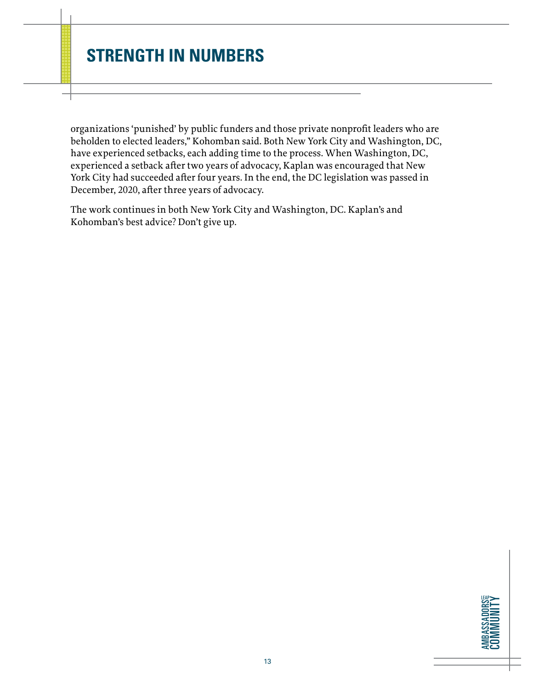organizations 'punished' by public funders and those private nonprofit leaders who are beholden to elected leaders," Kohomban said. Both New York City and Washington, DC, have experienced setbacks, each adding time to the process. When Washington, DC, experienced a setback after two years of advocacy, Kaplan was encouraged that New York City had succeeded after four years. In the end, the DC legislation was passed in December, 2020, after three years of advocacy.

The work continues in both New York City and Washington, DC. Kaplan's and Kohomban's best advice? Don't give up.

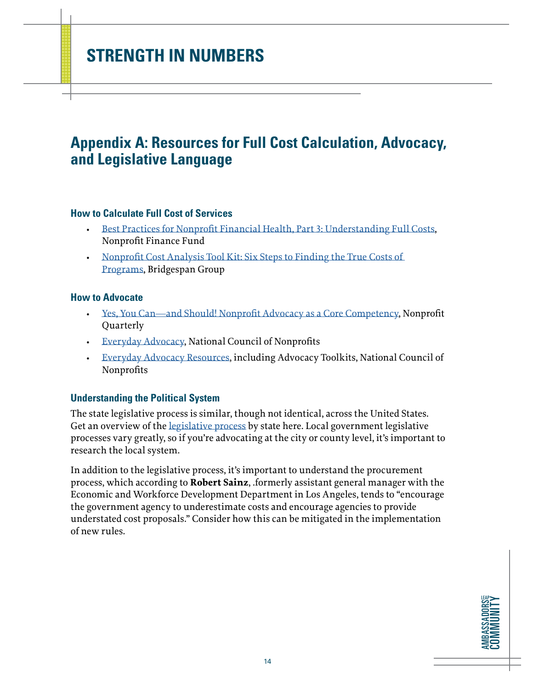### <span id="page-13-0"></span>**Appendix A: Resources for Full Cost Calculation, Advocacy, and Legislative Language**

#### **How to Calculate Full Cost of Services**

- [Best Practices for Nonprofit Financial Health, Part 3: Understanding Full Costs,](https://nff.org/blog/best-practices-nonprofit-financial-health-part-three-understanding-full-costs) Nonprofit Finance Fund
- [Nonprofit Cost Analysis Tool Kit: Six Steps to Finding the True Costs of](https://www.bridgespan.org/bridgespan/Images/articles/nonprofit-cost-analysis-toolkit/NonprofitCostsAnalysisToolkit.pdf)  [Programs,](https://www.bridgespan.org/bridgespan/Images/articles/nonprofit-cost-analysis-toolkit/NonprofitCostsAnalysisToolkit.pdf) Bridgespan Group

#### **How to Advocate**

- [Yes, You Can—and Should! Nonprofit Advocacy as a Core Competency,](https://nonprofitquarterly.org/yes-can-nonprofit-advocacy-core-competency/) Nonprofit Quarterly
- [Everyday Advocacy,](https://www.councilofnonprofits.org/everyday-advocacy) National Council of Nonprofits
- [Everyday Advocacy Resources,](https://www.councilofnonprofits.org/everyday-advocacy-resources) including Advocacy Toolkits, National Council of Nonprofits

#### **Understanding the Political System**

The state legislative process is similar, though not identical, across the United States. Get an overview of the [legislative process](http://www.statescape.com/resources/legislative/legislative-process/) by state here. Local government legislative processes vary greatly, so if you're advocating at the city or county level, it's important to research the local system.

In addition to the legislative process, it's important to understand the procurement process, which according to **Robert Sainz**, .formerly assistant general manager with the Economic and Workforce Development Department in Los Angeles, tends to "encourage the government agency to underestimate costs and encourage agencies to provide understated cost proposals." Consider how this can be mitigated in the implementation of new rules.

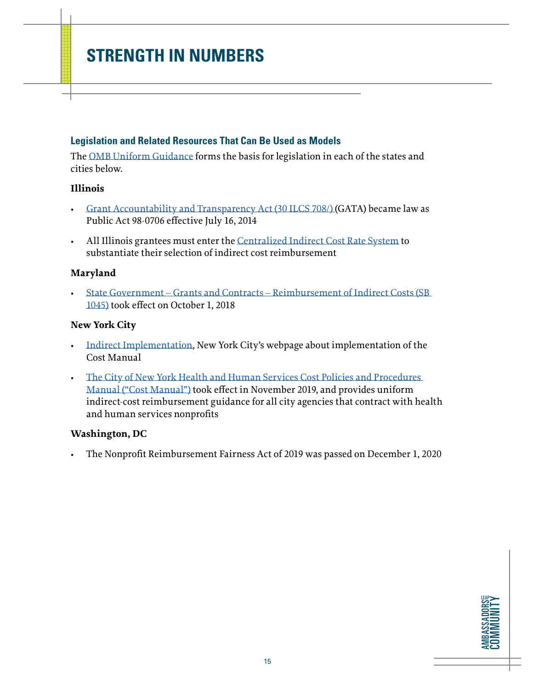#### **Legislation and Related Resources That Can Be Used as Models**

The [OMB Uniform Guidance](https://www.ecfr.gov/cgi-bin/text-idx?tpl=/ecfrbrowse/Title02/2cfr200_main_02.tpl) forms the basis for legislation in each of the states and cities below.

#### **Illinois**

- [Grant Accountability and Transparency Act \(30 ILCS 708/\) \(](https://ilga.gov/legislation/ilcs/ilcs3.asp?ActID=3559&ChapterID=7)GATA) became law as Public Act 98-0706 effective July 16, 2014
- All Illinois grantees must enter the [Centralized Indirect Cost Rate System](https://www2.illinois.gov/sites/GATA/Grantee/CentralizedIndirectCostSystem/Pages/default.aspx) to substantiate their selection of indirect cost reimbursement

#### **Maryland**

• [State Government – Grants and Contracts – Reimbursement of Indirect Costs \(SB](https://legiscan.com/MD/text/SB1045/id/1798062/Maryland-2018-SB1045-Chaptered.pdf)  [1045\)](https://legiscan.com/MD/text/SB1045/id/1798062/Maryland-2018-SB1045-Chaptered.pdf) took effect on October 1, 2018

#### **New York City**

- [Indirect Implementation](https://www1.nyc.gov/site/nonprofits/funded-providers/indirect-implementation.page), New York City's webpage about implementation of the Cost Manual
- [The City of New York Health and Human Services Cost Policies and Procedures](https://www1.nyc.gov/assets/nonprofits/downloads/pdf/NYC HHS Cost Policies and Procedures Manual.pdf)  [Manual \("Cost Manual"\)](https://www1.nyc.gov/assets/nonprofits/downloads/pdf/NYC HHS Cost Policies and Procedures Manual.pdf) took effect in November 2019, and provides uniform indirect-cost reimbursement guidance for all city agencies that contract with health and human services nonprofits

#### **Washington, DC**

• The Nonprofit Reimbursement Fairness Act of 2019 was passed on December 1, 2020

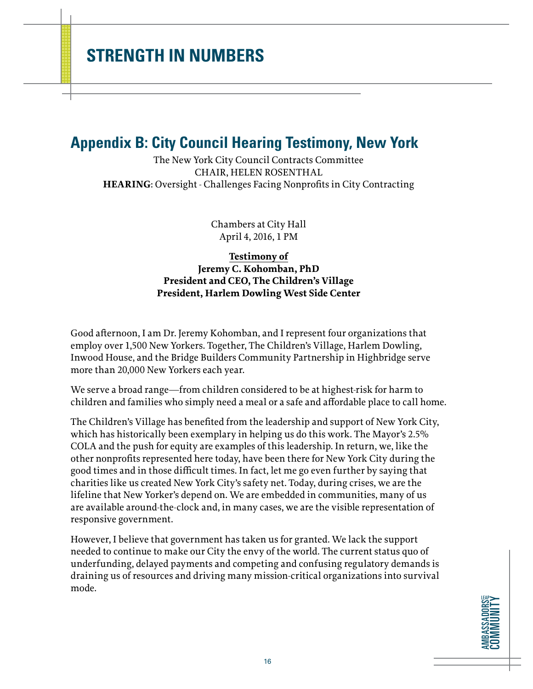### <span id="page-15-0"></span>**Appendix B: City Council Hearing Testimony, New York**

The New York City Council Contracts Committee CHAIR, HELEN ROSENTHAL **HEARING**: Oversight - Challenges Facing Nonprofits in City Contracting

> Chambers at City Hall April 4, 2016, 1 PM

#### **Testimony of Jeremy C. Kohomban, PhD President and CEO, The Children's Village President, Harlem Dowling West Side Center**

Good afternoon, I am Dr. Jeremy Kohomban, and I represent four organizations that employ over 1,500 New Yorkers. Together, The Children's Village, Harlem Dowling, Inwood House, and the Bridge Builders Community Partnership in Highbridge serve more than 20,000 New Yorkers each year.

We serve a broad range—from children considered to be at highest-risk for harm to children and families who simply need a meal or a safe and affordable place to call home.

The Children's Village has benefited from the leadership and support of New York City, which has historically been exemplary in helping us do this work. The Mayor's 2.5% COLA and the push for equity are examples of this leadership. In return, we, like the other nonprofits represented here today, have been there for New York City during the good times and in those difficult times. In fact, let me go even further by saying that charities like us created New York City's safety net. Today, during crises, we are the lifeline that New Yorker's depend on. We are embedded in communities, many of us are available around-the-clock and, in many cases, we are the visible representation of responsive government.

However, I believe that government has taken us for granted. We lack the support needed to continue to make our City the envy of the world. The current status quo of underfunding, delayed payments and competing and confusing regulatory demands is draining us of resources and driving many mission-critical organizations into survival mode.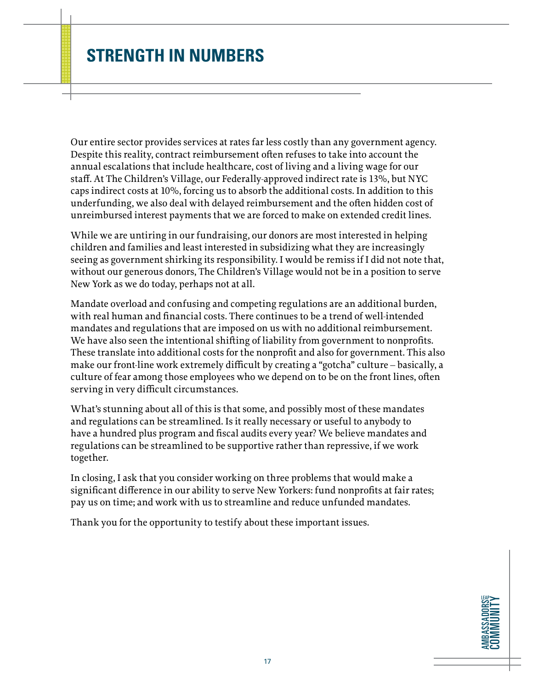Our entire sector provides services at rates far less costly than any government agency. Despite this reality, contract reimbursement often refuses to take into account the annual escalations that include healthcare, cost of living and a living wage for our staff. At The Children's Village, our Federally-approved indirect rate is 13%, but NYC caps indirect costs at 10%, forcing us to absorb the additional costs. In addition to this underfunding, we also deal with delayed reimbursement and the often hidden cost of unreimbursed interest payments that we are forced to make on extended credit lines.

While we are untiring in our fundraising, our donors are most interested in helping children and families and least interested in subsidizing what they are increasingly seeing as government shirking its responsibility. I would be remiss if I did not note that, without our generous donors, The Children's Village would not be in a position to serve New York as we do today, perhaps not at all.

Mandate overload and confusing and competing regulations are an additional burden, with real human and financial costs. There continues to be a trend of well-intended mandates and regulations that are imposed on us with no additional reimbursement. We have also seen the intentional shifting of liability from government to nonprofits. These translate into additional costs for the nonprofit and also for government. This also make our front-line work extremely difficult by creating a "gotcha" culture – basically, a culture of fear among those employees who we depend on to be on the front lines, often serving in very difficult circumstances.

What's stunning about all of this is that some, and possibly most of these mandates and regulations can be streamlined. Is it really necessary or useful to anybody to have a hundred plus program and fiscal audits every year? We believe mandates and regulations can be streamlined to be supportive rather than repressive, if we work together.

In closing, I ask that you consider working on three problems that would make a significant difference in our ability to serve New Yorkers: fund nonprofits at fair rates; pay us on time; and work with us to streamline and reduce unfunded mandates.

Thank you for the opportunity to testify about these important issues.

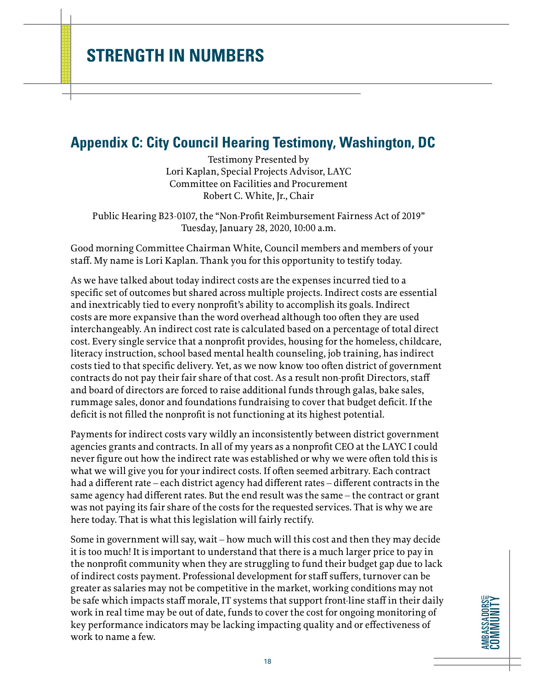### <span id="page-17-0"></span>**Appendix C: City Council Hearing Testimony, Washington, DC**

Testimony Presented by Lori Kaplan, Special Projects Advisor, LAYC Committee on Facilities and Procurement Robert C. White, Jr., Chair

Public Hearing B23-0107, the "Non-Profit Reimbursement Fairness Act of 2019" Tuesday, January 28, 2020, 10:00 a.m.

Good morning Committee Chairman White, Council members and members of your staff. My name is Lori Kaplan. Thank you for this opportunity to testify today.

As we have talked about today indirect costs are the expenses incurred tied to a specific set of outcomes but shared across multiple projects. Indirect costs are essential and inextricably tied to every nonprofit's ability to accomplish its goals. Indirect costs are more expansive than the word overhead although too often they are used interchangeably. An indirect cost rate is calculated based on a percentage of total direct cost. Every single service that a nonprofit provides, housing for the homeless, childcare, literacy instruction, school based mental health counseling, job training, has indirect costs tied to that specific delivery. Yet, as we now know too often district of government contracts do not pay their fair share of that cost. As a result non-profit Directors, staff and board of directors are forced to raise additional funds through galas, bake sales, rummage sales, donor and foundations fundraising to cover that budget deficit. If the deficit is not filled the nonprofit is not functioning at its highest potential.

Payments for indirect costs vary wildly an inconsistently between district government agencies grants and contracts. In all of my years as a nonprofit CEO at the LAYC I could never figure out how the indirect rate was established or why we were often told this is what we will give you for your indirect costs. If often seemed arbitrary. Each contract had a different rate – each district agency had different rates – different contracts in the same agency had different rates. But the end result was the same – the contract or grant was not paying its fair share of the costs for the requested services. That is why we are here today. That is what this legislation will fairly rectify.

Some in government will say, wait – how much will this cost and then they may decide it is too much! It is important to understand that there is a much larger price to pay in the nonprofit community when they are struggling to fund their budget gap due to lack of indirect costs payment. Professional development for staff suffers, turnover can be greater as salaries may not be competitive in the market, working conditions may not be safe which impacts staff morale, IT systems that support front-line staff in their daily work in real time may be out of date, funds to cover the cost for ongoing monitoring of key performance indicators may be lacking impacting quality and or effectiveness of work to name a few.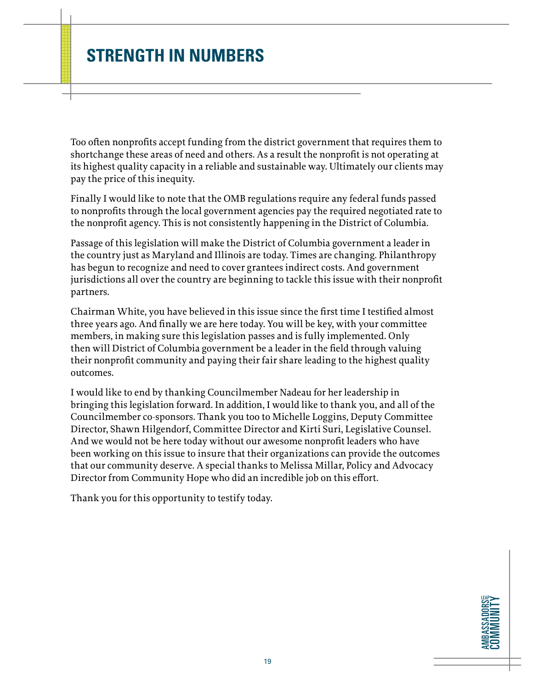Too often nonprofits accept funding from the district government that requires them to shortchange these areas of need and others. As a result the nonprofit is not operating at its highest quality capacity in a reliable and sustainable way. Ultimately our clients may pay the price of this inequity.

Finally I would like to note that the OMB regulations require any federal funds passed to nonprofits through the local government agencies pay the required negotiated rate to the nonprofit agency. This is not consistently happening in the District of Columbia.

Passage of this legislation will make the District of Columbia government a leader in the country just as Maryland and Illinois are today. Times are changing. Philanthropy has begun to recognize and need to cover grantees indirect costs. And government jurisdictions all over the country are beginning to tackle this issue with their nonprofit partners.

Chairman White, you have believed in this issue since the first time I testified almost three years ago. And finally we are here today. You will be key, with your committee members, in making sure this legislation passes and is fully implemented. Only then will District of Columbia government be a leader in the field through valuing their nonprofit community and paying their fair share leading to the highest quality outcomes.

I would like to end by thanking Councilmember Nadeau for her leadership in bringing this legislation forward. In addition, I would like to thank you, and all of the Councilmember co-sponsors. Thank you too to Michelle Loggins, Deputy Committee Director, Shawn Hilgendorf, Committee Director and Kirti Suri, Legislative Counsel. And we would not be here today without our awesome nonprofit leaders who have been working on this issue to insure that their organizations can provide the outcomes that our community deserve. A special thanks to Melissa Millar, Policy and Advocacy Director from Community Hope who did an incredible job on this effort.

Thank you for this opportunity to testify today.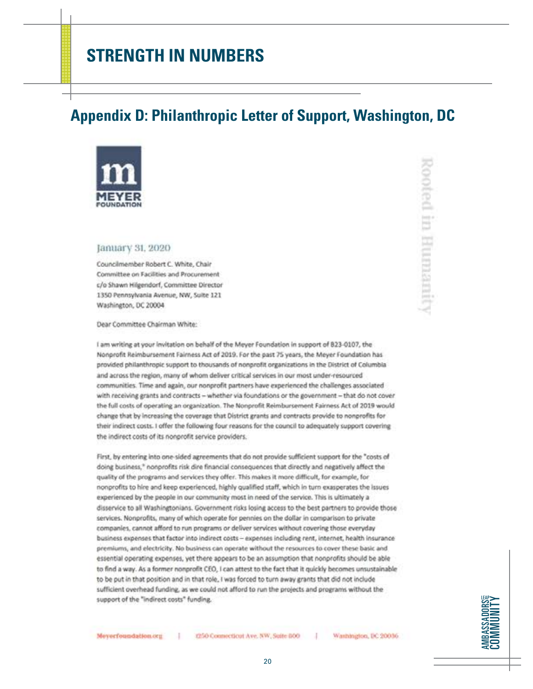### <span id="page-19-0"></span>**Appendix D: Philanthropic Letter of Support, Washington, DC**



#### January 31, 2020

Councilmember Robert C. White, Chair Committee on Facilities and Procurement c/o Shawn Hilgendorf, Committee Director 1350 Pennsylvania Avenue, NW, Suite 121 Washington, DC 20004

Dear Committee Chairman White:

I am writing at your invitation on behalf of the Meyer Foundation in support of 823-0107, the Nonprofit Reimbursement Fairness Act of 2019. For the past 75 years, the Meyer Foundation has provided philanthropic support to thousands of nonprofit organizations in the District of Columbia and across the region, many of whom deliver critical services in our most under-resourced communities. Time and again, our nonprofit partners have experienced the challenges associated with receiving grants and contracts - whether via foundations or the government - that do not cover the full costs of operating an organization. The Nonprofit Reimbursement Fairness Act of 2019 would change that by increasing the coverage that District grants and contracts provide to nonprofits for their indirect costs. I offer the following four reasons for the council to adequately support covering the indirect costs of its nonprofit service providers.

First, by entering into one-sided agreements that do not provide sufficient support for the "costs of doing business," nonprofits risk dire financial consequences that directly and negatively affect the quality of the programs and services they offer. This makes it more difficult, for example, for nonprofits to hire and keep experienced, highly qualified staff, which in turn exasperates the issues experienced by the people in our community most in need of the service. This is ultimately a disservice to all Washingtonians. Government risks losing access to the best partners to provide those services. Nonprofits, many of which operate for pennies on the dollar in comparison to private companies, cannot afford to run programs or deliver services without covering those everyday business expenses that factor into indirect costs - expenses including rent, internet, health insurance premiums, and electricity. No business can operate without the resources to cover these basic and essential operating expenses, yet there appears to be an assumption that nonprofits should be able to find a way. As a former nonprofit CEO, I can attest to the fact that it quickly becomes unsustainable to be put in that position and in that role, I was forced to turn away grants that did not include sufficient overhead funding, as we could not afford to run the projects and programs without the support of the "indirect costs" funding.





Moyerfoundation.org

1.1

1250 Connecticut Ave. NW, Suite 800

20

Washington, DC 20036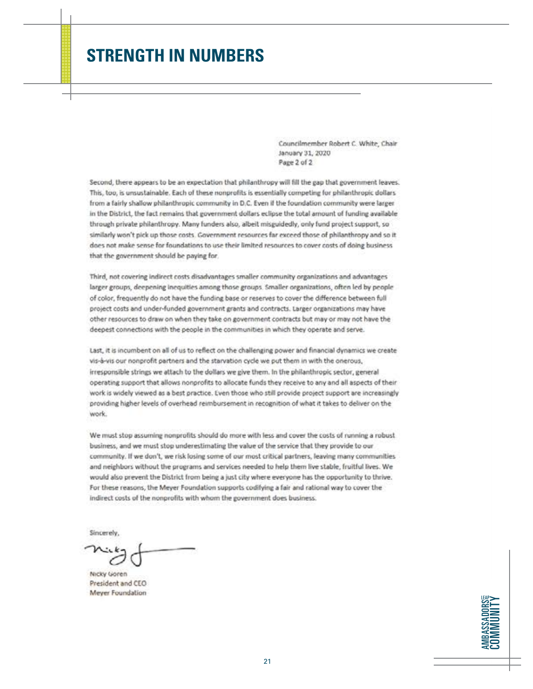Councilmember Robert C. White, Chair January 31, 2020 Page 2 of 2

Second, there appears to be an expectation that philanthropy will fill the gap that government leaves. This, too, is unsustainable. Each of these nonprofits is essentially competing for philanthropic dollars from a fairly shallow philanthropic community in D.C. Even if the foundation community were larger in the District. the fact remains that government dollars eclipse the total amount of funding available through private philanthropy. Many funders also, albeit misguidedly, only fund project support, so similarly won't pick up those costs. Government resources far exceed those of philanthropy and so it does not make sense for foundations to use their limited resources to cover costs of doing business that the government should be paying for.

Third, not covering indirect costs disadvantages smaller community organizations and advantages larger groups, deepening inequities among those groups. Smaller organizations, often led by people of color, frequently do not have the funding base or reserves to cover the difference between full project costs and under-funded government grants and contracts. Larger organizations may have other resources to draw on when they take on government contracts but may or may not have the deepest connections with the people in the communities in which they operate and serve.

Last, it is incumbent on all of us to reflect on the challenging power and financial dynamics we create vis-à-vis our nonprofit partners and the starvation cycle we put them in with the onerous, irresponsible strings we attach to the dollars we give them. In the philanthropic sector, general operating support that allows nonprofits to allocate funds they receive to any and all aspects of their work is widely viewed as a best practice. Even those who still provide project support are increasingly providing higher levels of overhead reimbursement in recognition of what it takes to deliver on the work.

We must stop assuming nonprofits should do more with less and cover the costs of running a robust business, and we must stop underestimating the value of the service that they provide to our community. If we don't, we risk losing some of our most critical partners, leaving many communities and neighbors without the programs and services needed to help them live stable, fruitful lives. We would also prevent the District from being a just city where everyone has the opportunity to thrive. For these reasons, the Meyer Foundation supports codifying a fair and rational way to cover the indirect costs of the nonprofits with whom the government does business.

Sincerely.

Nicky Goren President and CEO Meyer Foundation

**AMBASSADORS COMMUNITY AMBASSADORS** COMMUNITY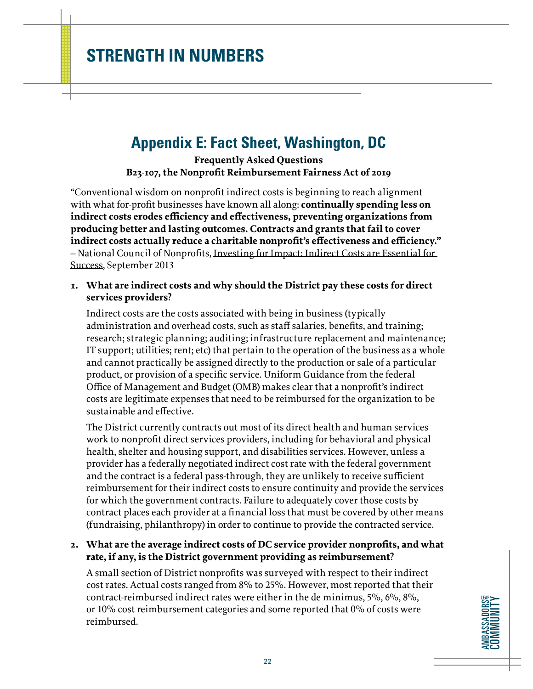### <span id="page-21-0"></span>**Appendix E: Fact Sheet, Washington, DC**

**Frequently Asked Questions B23-107, the Nonprofit Reimbursement Fairness Act of 2019**

"Conventional wisdom on nonprofit indirect costs is beginning to reach alignment with what for-profit businesses have known all along: **continually spending less on indirect costs erodes efficiency and effectiveness, preventing organizations from producing better and lasting outcomes. Contracts and grants that fail to cover indirect costs actually reduce a charitable nonprofit's effectiveness and efficiency."** – National Council of Nonprofits, Investing for Impact: Indirect Costs are Essential for Success, September 2013

#### **1. What are indirect costs and why should the District pay these costs for direct services providers?**

Indirect costs are the costs associated with being in business (typically administration and overhead costs, such as staff salaries, benefits, and training; research; strategic planning; auditing; infrastructure replacement and maintenance; IT support; utilities; rent; etc) that pertain to the operation of the business as a whole and cannot practically be assigned directly to the production or sale of a particular product, or provision of a specific service. Uniform Guidance from the federal Office of Management and Budget (OMB) makes clear that a nonprofit's indirect costs are legitimate expenses that need to be reimbursed for the organization to be sustainable and effective.

The District currently contracts out most of its direct health and human services work to nonprofit direct services providers, including for behavioral and physical health, shelter and housing support, and disabilities services. However, unless a provider has a federally negotiated indirect cost rate with the federal government and the contract is a federal pass-through, they are unlikely to receive sufficient reimbursement for their indirect costs to ensure continuity and provide the services for which the government contracts. Failure to adequately cover those costs by contract places each provider at a financial loss that must be covered by other means (fundraising, philanthropy) in order to continue to provide the contracted service.

#### **2. What are the average indirect costs of DC service provider nonprofits, and what rate, if any, is the District government providing as reimbursement?**

A small section of District nonprofits was surveyed with respect to their indirect cost rates. Actual costs ranged from 8% to 25%. However, most reported that their contract-reimbursed indirect rates were either in the de minimus, 5%, 6%, 8%, or 10% cost reimbursement categories and some reported that 0% of costs were reimbursed.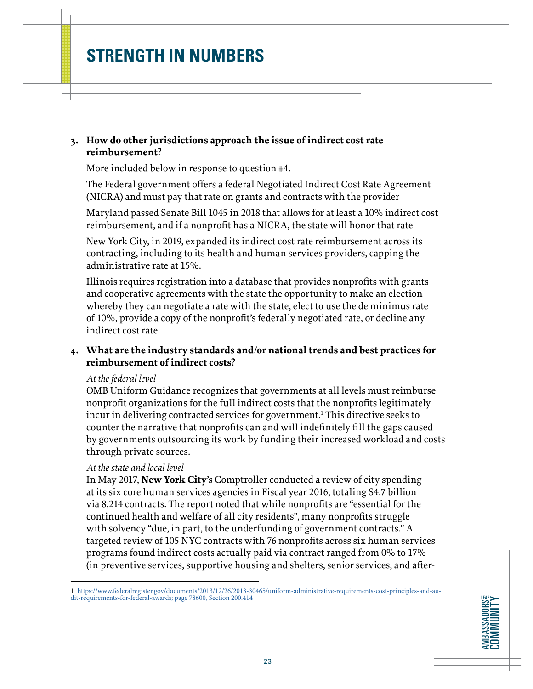#### **3. How do other jurisdictions approach the issue of indirect cost rate reimbursement?**

More included below in response to question #4.

The Federal government offers a federal Negotiated Indirect Cost Rate Agreement (NICRA) and must pay that rate on grants and contracts with the provider

Maryland passed Senate Bill 1045 in 2018 that allows for at least a 10% indirect cost reimbursement, and if a nonprofit has a NICRA, the state will honor that rate

New York City, in 2019, expanded its indirect cost rate reimbursement across its contracting, including to its health and human services providers, capping the administrative rate at 15%.

Illinois requires registration into a database that provides nonprofits with grants and cooperative agreements with the state the opportunity to make an election whereby they can negotiate a rate with the state, elect to use the de minimus rate of 10%, provide a copy of the nonprofit's federally negotiated rate, or decline any indirect cost rate.

#### **4. What are the industry standards and/or national trends and best practices for reimbursement of indirect costs?**

#### *At the federal level*

OMB Uniform Guidance recognizes that governments at all levels must reimburse nonprofit organizations for the full indirect costs that the nonprofits legitimately incur in delivering contracted services for government.1 This directive seeks to counter the narrative that nonprofits can and will indefinitely fill the gaps caused by governments outsourcing its work by funding their increased workload and costs through private sources.

#### *At the state and local level*

In May 2017, **New York City**'s Comptroller conducted a review of city spending at its six core human services agencies in Fiscal year 2016, totaling \$4.7 billion via 8,214 contracts. The report noted that while nonprofits are "essential for the continued health and welfare of all city residents", many nonprofits struggle with solvency "due, in part, to the underfunding of government contracts." A targeted review of 105 NYC contracts with 76 nonprofits across six human services programs found indirect costs actually paid via contract ranged from 0% to 17% (in preventive services, supportive housing and shelters, senior services, and after-

1 [https://www.federalregister.gov/documents/2013/12/26/2013-30465/uniform-administrative-requirements-cost-principles-and-au](https://www.federalregister.gov/documents/2013/12/26/2013-30465/uniform-administrative-requirements-)[dit-requirements-for-federal-awards; page 78600, Section 200.414](https://www.federalregister.gov/documents/2013/12/26/2013-30465/uniform-administrative-requirements-)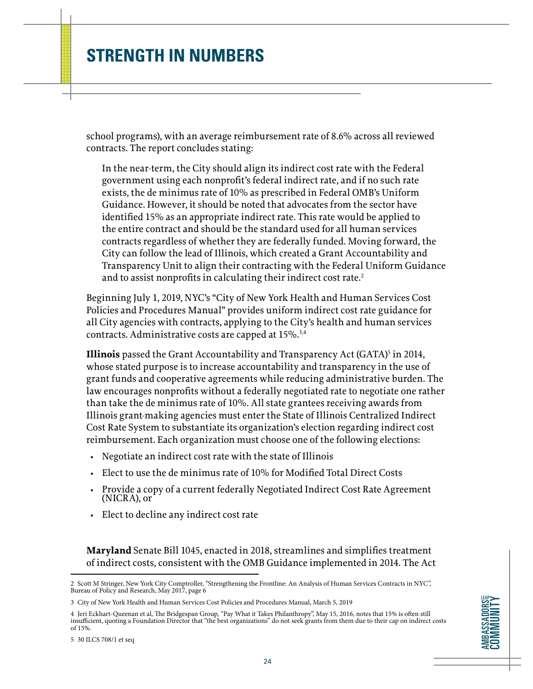school programs), with an average reimbursement rate of 8.6% across all reviewed contracts. The report concludes stating:

In the near-term, the City should align its indirect cost rate with the Federal government using each nonprofit's federal indirect rate, and if no such rate exists, the de minimus rate of 10% as prescribed in Federal OMB's Uniform Guidance. However, it should be noted that advocates from the sector have identified 15% as an appropriate indirect rate. This rate would be applied to the entire contract and should be the standard used for all human services contracts regardless of whether they are federally funded. Moving forward, the City can follow the lead of Illinois, which created a Grant Accountability and Transparency Unit to align their contracting with the Federal Uniform Guidance and to assist nonprofits in calculating their indirect cost rate.<sup>2</sup>

Beginning July 1, 2019, NYC's "City of New York Health and Human Services Cost Policies and Procedures Manual" provides uniform indirect cost rate guidance for all City agencies with contracts, applying to the City's health and human services contracts. Administrative costs are capped at 15%.<sup>3,4</sup>

**Illinois** passed the Grant Accountability and Transparency Act (GATA)<sup>5</sup> in 2014, whose stated purpose is to increase accountability and transparency in the use of grant funds and cooperative agreements while reducing administrative burden. The law encourages nonprofits without a federally negotiated rate to negotiate one rather than take the de minimus rate of 10%. All state grantees receiving awards from Illinois grant-making agencies must enter the State of Illinois Centralized Indirect Cost Rate System to substantiate its organization's election regarding indirect cost reimbursement. Each organization must choose one of the following elections:

- Negotiate an indirect cost rate with the state of Illinois
- Elect to use the de minimus rate of 10% for Modified Total Direct Costs
- Provide a copy of a current federally Negotiated Indirect Cost Rate Agreement (NICRA), or
- Elect to decline any indirect cost rate

**Maryland** Senate Bill 1045, enacted in 2018, streamlines and simplifies treatment of indirect costs, consistent with the OMB Guidance implemented in 2014. The Act

<sup>4</sup> Jeri Eckhart-Queenan et al, The Bridgespan Group, "Pay What it Takes Philanthropy", May 15, 2016, notes that 15% is often still insufficient, quoting a Foundation Director that "the best organizations" do not seek grants from them due to their cap on indirect costs of 15%.



<sup>2</sup> Scott M Stringer, New York City Comptroller, "Strengthening the Frontline: An Analysis of Human Services Contracts in NYC", Bureau of Policy and Research, May 2017, page 6

<sup>3</sup> City of New York Health and Human Services Cost Policies and Procedures Manual, March 5, 2019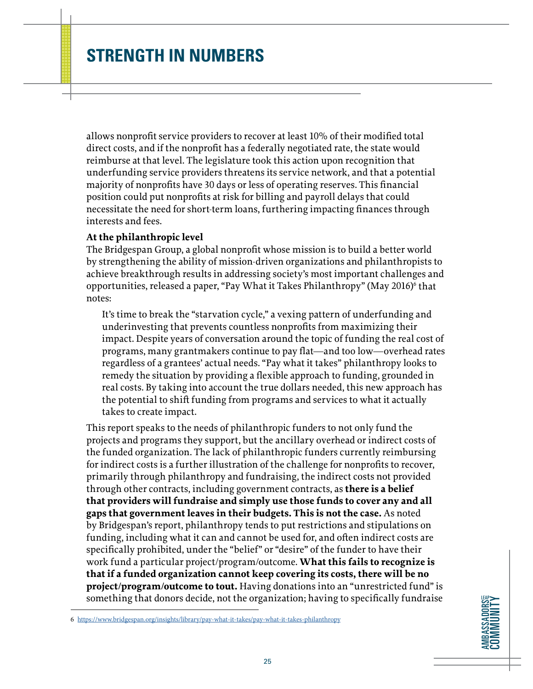allows nonprofit service providers to recover at least 10% of their modified total direct costs, and if the nonprofit has a federally negotiated rate, the state would reimburse at that level. The legislature took this action upon recognition that underfunding service providers threatens its service network, and that a potential majority of nonprofits have 30 days or less of operating reserves. This financial position could put nonprofits at risk for billing and payroll delays that could necessitate the need for short-term loans, furthering impacting finances through interests and fees.

#### **At the philanthropic level**

The Bridgespan Group, a global nonprofit whose mission is to build a better world by strengthening the ability of mission-driven organizations and philanthropists to achieve breakthrough results in addressing society's most important challenges and opportunities, released a paper, "Pay What it Takes Philanthropy" (May 2016)<sup>6</sup> that notes:

It's time to break the "starvation cycle," a vexing pattern of underfunding and underinvesting that prevents countless nonprofits from maximizing their impact. Despite years of conversation around the topic of funding the real cost of programs, many grantmakers continue to pay flat—and too low—overhead rates regardless of a grantees' actual needs. "Pay what it takes" philanthropy looks to remedy the situation by providing a flexible approach to funding, grounded in real costs. By taking into account the true dollars needed, this new approach has the potential to shift funding from programs and services to what it actually takes to create impact.

This report speaks to the needs of philanthropic funders to not only fund the projects and programs they support, but the ancillary overhead or indirect costs of the funded organization. The lack of philanthropic funders currently reimbursing for indirect costs is a further illustration of the challenge for nonprofits to recover, primarily through philanthropy and fundraising, the indirect costs not provided through other contracts, including government contracts, as **there is a belief that providers will fundraise and simply use those funds to cover any and all gaps that government leaves in their budgets. This is not the case.** As noted by Bridgespan's report, philanthropy tends to put restrictions and stipulations on funding, including what it can and cannot be used for, and often indirect costs are specifically prohibited, under the "belief" or "desire" of the funder to have their work fund a particular project/program/outcome. **What this fails to recognize is that if a funded organization cannot keep covering its costs, there will be no project/program/outcome to tout.** Having donations into an "unrestricted fund" is something that donors decide, not the organization; having to specifically fundraise

6 <https://www.bridgespan.org/insights/library/pay-what-it-takes/pay-what-it-takes-philanthropy>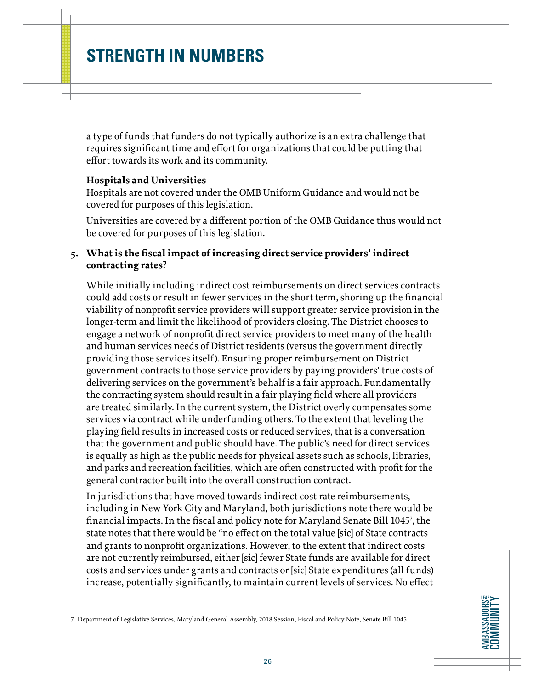a type of funds that funders do not typically authorize is an extra challenge that requires significant time and effort for organizations that could be putting that effort towards its work and its community.

#### **Hospitals and Universities**

Hospitals are not covered under the OMB Uniform Guidance and would not be covered for purposes of this legislation.

Universities are covered by a different portion of the OMB Guidance thus would not be covered for purposes of this legislation.

#### **5. What is the fiscal impact of increasing direct service providers' indirect contracting rates?**

While initially including indirect cost reimbursements on direct services contracts could add costs or result in fewer services in the short term, shoring up the financial viability of nonprofit service providers will support greater service provision in the longer-term and limit the likelihood of providers closing. The District chooses to engage a network of nonprofit direct service providers to meet many of the health and human services needs of District residents (versus the government directly providing those services itself). Ensuring proper reimbursement on District government contracts to those service providers by paying providers' true costs of delivering services on the government's behalf is a fair approach. Fundamentally the contracting system should result in a fair playing field where all providers are treated similarly. In the current system, the District overly compensates some services via contract while underfunding others. To the extent that leveling the playing field results in increased costs or reduced services, that is a conversation that the government and public should have. The public's need for direct services is equally as high as the public needs for physical assets such as schools, libraries, and parks and recreation facilities, which are often constructed with profit for the general contractor built into the overall construction contract.

In jurisdictions that have moved towards indirect cost rate reimbursements, including in New York City and Maryland, both jurisdictions note there would be financial impacts. In the fiscal and policy note for Maryland Senate Bill 10457 , the state notes that there would be "no effect on the total value [sic] of State contracts and grants to nonprofit organizations. However, to the extent that indirect costs are not currently reimbursed, either [sic] fewer State funds are available for direct costs and services under grants and contracts or [sic] State expenditures (all funds) increase, potentially significantly, to maintain current levels of services. No effect

<sup>7</sup> Department of Legislative Services, Maryland General Assembly, 2018 Session, Fiscal and Policy Note, Senate Bill 1045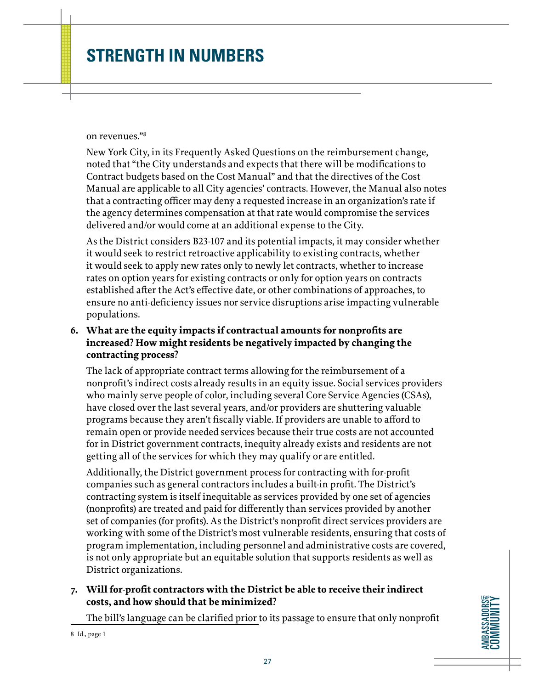#### on revenues."8

New York City, in its Frequently Asked Questions on the reimbursement change, noted that "the City understands and expects that there will be modifications to Contract budgets based on the Cost Manual" and that the directives of the Cost Manual are applicable to all City agencies' contracts. However, the Manual also notes that a contracting officer may deny a requested increase in an organization's rate if the agency determines compensation at that rate would compromise the services delivered and/or would come at an additional expense to the City.

As the District considers B23-107 and its potential impacts, it may consider whether it would seek to restrict retroactive applicability to existing contracts, whether it would seek to apply new rates only to newly let contracts, whether to increase rates on option years for existing contracts or only for option years on contracts established after the Act's effective date, or other combinations of approaches, to ensure no anti-deficiency issues nor service disruptions arise impacting vulnerable populations.

#### **6. What are the equity impacts if contractual amounts for nonprofits are increased? How might residents be negatively impacted by changing the contracting process?**

The lack of appropriate contract terms allowing for the reimbursement of a nonprofit's indirect costs already results in an equity issue. Social services providers who mainly serve people of color, including several Core Service Agencies (CSAs), have closed over the last several years, and/or providers are shuttering valuable programs because they aren't fiscally viable. If providers are unable to afford to remain open or provide needed services because their true costs are not accounted for in District government contracts, inequity already exists and residents are not getting all of the services for which they may qualify or are entitled.

Additionally, the District government process for contracting with for-profit companies such as general contractors includes a built-in profit. The District's contracting system is itself inequitable as services provided by one set of agencies (nonprofits) are treated and paid for differently than services provided by another set of companies (for profits). As the District's nonprofit direct services providers are working with some of the District's most vulnerable residents, ensuring that costs of program implementation, including personnel and administrative costs are covered, is not only appropriate but an equitable solution that supports residents as well as District organizations.

#### **7. Will for-profit contractors with the District be able to receive their indirect costs, and how should that be minimized?**

The bill's language can be clarified prior to its passage to ensure that only nonprofit

<sup>8</sup> Id., page 1